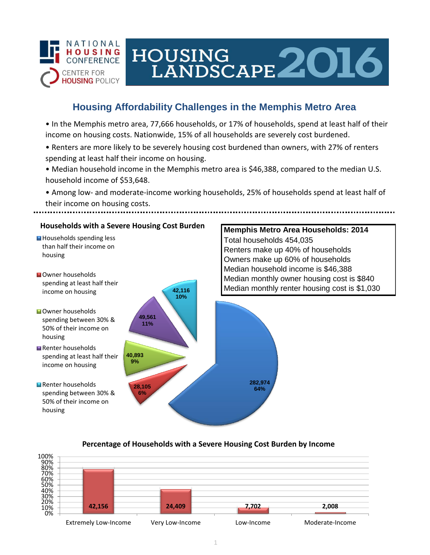

# HOUSING LANDSCAPE 2016

# **Housing Affordability Challenges in the Memphis Metro Area**

• In the Memphis metro area, 77,666 households, or 17% of households, spend at least half of their income on housing costs. Nationwide, 15% of all households are severely cost burdened.

- Renters are more likely to be severely housing cost burdened than owners, with 27% of renters spending at least half their income on housing.
- Median household income in the Memphis metro area is \$46,388, compared to the median U.S. household income of \$53,648.
- Among low- and moderate-income working households, 25% of households spend at least half of their income on housing costs.



## **Percentage of Households with a Severe Housing Cost Burden by Income**